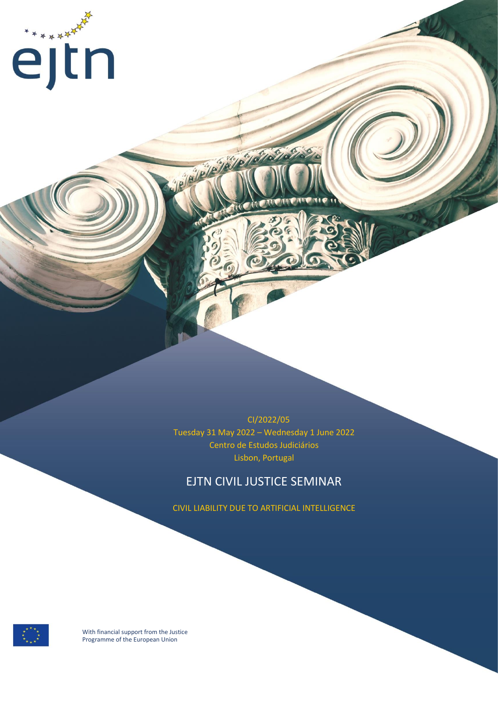

 CI/2022/05 Tuesday 31 May 2022 – Wednesday 1 June 2022 Centro de Estudos Judiciários Lisbon, Portugal

**CONTRACTOR** 

### EJTN CIVIL JUSTICE SEMINAR

CIVIL LIABILITY DUE TO ARTIFICIAL INTELLIGENCE

With financial support from the Justice Programme of the European Union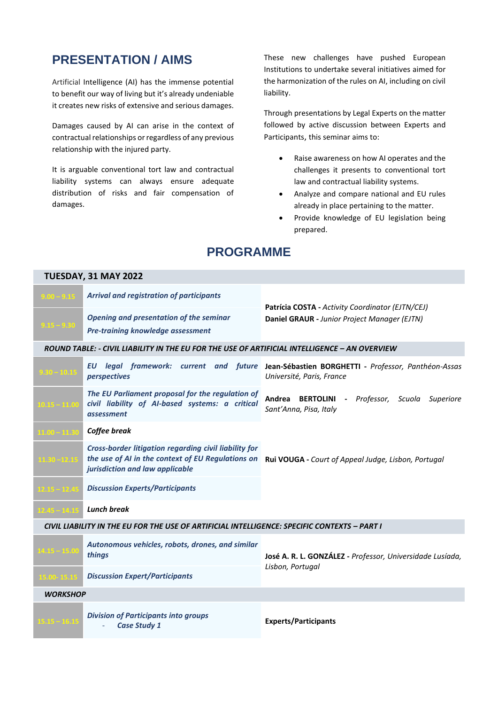# **PRESENTATION / AIMS**

Artificial Intelligence (AI) has the immense potential to benefit our way of living but it's already undeniable it creates new risks of extensive and serious damages.

Damages caused by AI can arise in the context of contractual relationships or regardless of any previous relationship with the injured party.

It is arguable conventional tort law and contractual liability systems can always ensure adequate distribution of risks and fair compensation of damages.

**TUESDAY, 31 MAY 2022**

These new challenges have pushed European Institutions to undertake several initiatives aimed for the harmonization of the rules on AI, including on civil liability.

Through presentations by Legal Experts on the matter followed by active discussion between Experts and Participants, this seminar aims to:

- Raise awareness on how AI operates and the challenges it presents to conventional tort law and contractual liability systems.
- Analyze and compare national and EU rules already in place pertaining to the matter.
- Provide knowledge of EU legislation being prepared.

## **PROGRAMME**

| TUESDAY, 31 MAY 2022                                                                          |                                                                                                                   |                                                                                                                          |  |
|-----------------------------------------------------------------------------------------------|-------------------------------------------------------------------------------------------------------------------|--------------------------------------------------------------------------------------------------------------------------|--|
| $9.00 - 9.15$                                                                                 | <b>Arrival and registration of participants</b>                                                                   |                                                                                                                          |  |
| $9.15 - 9.30$                                                                                 | Opening and presentation of the seminar<br><b>Pre-training knowledge assessment</b>                               | Patrícia COSTA - Activity Coordinator (EJTN/CEJ)<br>Daniel GRAUR - Junior Project Manager (EJTN)                         |  |
| ROUND TABLE: - CIVIL LIABILITY IN THE EU FOR THE USE OF ARTIFICIAL INTELLIGENCE – AN OVERVIEW |                                                                                                                   |                                                                                                                          |  |
| $9.30 - 10.15$                                                                                | perspectives                                                                                                      | EU legal framework: current and future Jean-Sébastien BORGHETTI - Professor, Panthéon-Assas<br>Université, Paris, France |  |
| $10.15 - 11.00$                                                                               | The EU Parliament proposal for the regulation of<br>civil liability of AI-based systems: a critical<br>assessment | Andrea BERTOLINI - Professor, Scuola Superiore<br>Sant'Anna, Pisa, Italy                                                 |  |
| $11.00 - 11.30$                                                                               | Coffee break                                                                                                      |                                                                                                                          |  |
| $11.30 - 12.15$                                                                               | Cross-border litigation regarding civil liability for<br>jurisdiction and law applicable                          | the use of AI in the context of EU Regulations on Rui VOUGA - Court of Appeal Judge, Lisbon, Portugal                    |  |
| $12.15 - 12.45$                                                                               | <b>Discussion Experts/Participants</b>                                                                            |                                                                                                                          |  |
| $12.45 - 14.15$                                                                               | <b>Lunch break</b>                                                                                                |                                                                                                                          |  |
| CIVIL LIABILITY IN THE EU FOR THE USE OF ARTIFICIAL INTELLIGENCE: SPECIFIC CONTEXTS - PART I  |                                                                                                                   |                                                                                                                          |  |
| $14.15 - 15.00$                                                                               | Autonomous vehicles, robots, drones, and similar<br>things                                                        | José A. R. L. GONZÁLEZ - Professor, Universidade Lusíada,<br>Lisbon, Portugal                                            |  |
| 15.00 - 15.15                                                                                 | <b>Discussion Expert/Participants</b>                                                                             |                                                                                                                          |  |
| <b>WORKSHOP</b>                                                                               |                                                                                                                   |                                                                                                                          |  |
| $15.15 - 16.15$                                                                               | <b>Division of Participants into groups</b><br><b>Case Study 1</b>                                                | <b>Experts/Participants</b>                                                                                              |  |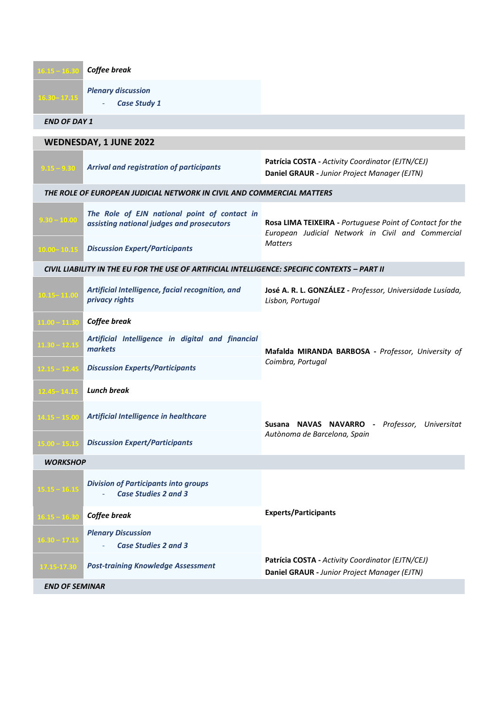| $16.15 - 16.30$                                                                               | Coffee break                                                                              |                                                                                                                                 |  |
|-----------------------------------------------------------------------------------------------|-------------------------------------------------------------------------------------------|---------------------------------------------------------------------------------------------------------------------------------|--|
| $16.30 - 17.15$                                                                               | <b>Plenary discussion</b><br><b>Case Study 1</b>                                          |                                                                                                                                 |  |
| <b>END OF DAY 1</b>                                                                           |                                                                                           |                                                                                                                                 |  |
| WEDNESDAY, 1 JUNE 2022                                                                        |                                                                                           |                                                                                                                                 |  |
| $9.15 - 9.30$                                                                                 | <b>Arrival and registration of participants</b>                                           | Patrícia COSTA - Activity Coordinator (EJTN/CEJ)<br>Daniel GRAUR - Junior Project Manager (EJTN)                                |  |
| THE ROLE OF EUROPEAN JUDICIAL NETWORK IN CIVIL AND COMMERCIAL MATTERS                         |                                                                                           |                                                                                                                                 |  |
| $9.30 - 10.00$                                                                                | The Role of EJN national point of contact in<br>assisting national judges and prosecutors | Rosa LIMA TEIXEIRA - Portuguese Point of Contact for the<br>European Judicial Network in Civil and Commercial<br><b>Matters</b> |  |
| $10.00 - 10.15$                                                                               | <b>Discussion Expert/Participants</b>                                                     |                                                                                                                                 |  |
| CIVIL LIABILITY IN THE EU FOR THE USE OF ARTIFICIAL INTELLIGENCE: SPECIFIC CONTEXTS – PART II |                                                                                           |                                                                                                                                 |  |
| $10.15 - 11.00$                                                                               | Artificial Intelligence, facial recognition, and<br>privacy rights                        | José A. R. L. GONZÁLEZ - Professor, Universidade Lusíada,<br>Lisbon, Portugal                                                   |  |
| $11.00 - 11.30$                                                                               | Coffee break                                                                              |                                                                                                                                 |  |
| $11.30 - 12.15$                                                                               | Artificial Intelligence in digital and financial<br>markets                               | Mafalda MIRANDA BARBOSA - Professor, University of<br>Coimbra, Portugal                                                         |  |
| $12.15 - 12.45$                                                                               | <b>Discussion Experts/Participants</b>                                                    |                                                                                                                                 |  |
| $12.45 - 14.15$                                                                               | <b>Lunch break</b>                                                                        |                                                                                                                                 |  |
| $14.15 - 15.00$                                                                               | Artificial Intelligence in healthcare                                                     | Susana NAVAS NAVARRO - Professor, Universitat<br>Autònoma de Barcelona, Spain                                                   |  |
| $15.00 - 15.15$                                                                               | <b>Discussion Expert/Participants</b>                                                     |                                                                                                                                 |  |
| <b>WORKSHOP</b>                                                                               |                                                                                           |                                                                                                                                 |  |
| $15.15 - 16.15$                                                                               | <b>Division of Participants into groups</b><br><b>Case Studies 2 and 3</b>                |                                                                                                                                 |  |
| $16.15 - 16.30$                                                                               | Coffee break                                                                              | <b>Experts/Participants</b>                                                                                                     |  |
| $16.30 - 17.15$                                                                               | <b>Plenary Discussion</b><br><b>Case Studies 2 and 3</b>                                  |                                                                                                                                 |  |
| 17.15-17.30                                                                                   | <b>Post-training Knowledge Assessment</b>                                                 | Patrícia COSTA - Activity Coordinator (EJTN/CEJ)<br>Daniel GRAUR - Junior Project Manager (EJTN)                                |  |
| <b>END OF SEMINAR</b>                                                                         |                                                                                           |                                                                                                                                 |  |